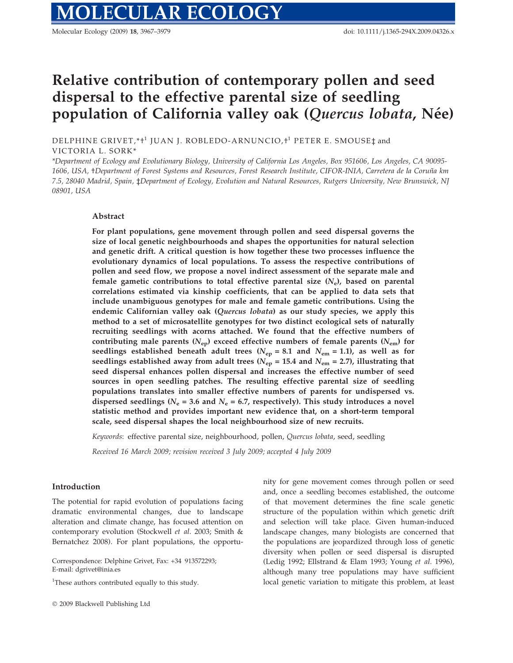Molecular Ecology (2009) 18, 3967-3979 doi: 10.1111/j.1365-294X.2009.04326.x

# Relative contribution of contemporary pollen and seed dispersal to the effective parental size of seedling population of California valley oak (Quercus lobata, Née)

DELPHINE GRIVET,\*<sup>+1</sup> JUAN J. ROBLEDO-ARNUNCIO,<sup>+1</sup> PETER E. SMOUSE<sup>†</sup> and VICTORIA L. SORK\*

\*Department of Ecology and Evolutionary Biology, University of California Los Angeles, Box 951606, Los Angeles, CA 90095- 1606, USA, †Department of Forest Systems and Resources, Forest Research Institute, CIFOR-INIA, Carretera de la Coruña km 7.5, 28040 Madrid, Spain, ‡Department of Ecology, Evolution and Natural Resources, Rutgers University, New Brunswick, NJ 08901, USA

# Abstract

For plant populations, gene movement through pollen and seed dispersal governs the size of local genetic neighbourhoods and shapes the opportunities for natural selection and genetic drift. A critical question is how together these two processes influence the evolutionary dynamics of local populations. To assess the respective contributions of pollen and seed flow, we propose a novel indirect assessment of the separate male and female gametic contributions to total effective parental size  $(N_e)$ , based on parental correlations estimated via kinship coefficients, that can be applied to data sets that include unambiguous genotypes for male and female gametic contributions. Using the endemic Californian valley oak (Quercus lobata) as our study species, we apply this method to a set of microsatellite genotypes for two distinct ecological sets of naturally recruiting seedlings with acorns attached. We found that the effective numbers of contributing male parents ( $N_{\rm ep}$ ) exceed effective numbers of female parents ( $N_{\rm em}$ ) for seedlings established beneath adult trees ( $N_{ep} = 8.1$  and  $N_{em} = 1.1$ ), as well as for seedlings established away from adult trees ( $N_{ep}$  = 15.4 and  $N_{em}$  = 2.7), illustrating that seed dispersal enhances pollen dispersal and increases the effective number of seed sources in open seedling patches. The resulting effective parental size of seedling populations translates into smaller effective numbers of parents for undispersed vs. dispersed seedlings ( $N_e$  = 3.6 and  $N_e$  = 6.7, respectively). This study introduces a novel statistic method and provides important new evidence that, on a short-term temporal scale, seed dispersal shapes the local neighbourhood size of new recruits.

Keywords: effective parental size, neighbourhood, pollen, Quercus lobata, seed, seedling

Received 16 March 2009; revision received 3 July 2009; accepted 4 July 2009

## Introduction

The potential for rapid evolution of populations facing dramatic environmental changes, due to landscape alteration and climate change, has focused attention on contemporary evolution (Stockwell et al. 2003; Smith & Bernatchez 2008). For plant populations, the opportu-

Correspondence: Delphine Grivet, Fax: +34 913572293; E-mail: dgrivet@inia.es

<sup>1</sup>These authors contributed equally to this study.

 $©$  2009 Blackwell Publishing Ltd

nity for gene movement comes through pollen or seed and, once a seedling becomes established, the outcome of that movement determines the fine scale genetic structure of the population within which genetic drift and selection will take place. Given human-induced landscape changes, many biologists are concerned that the populations are jeopardized through loss of genetic diversity when pollen or seed dispersal is disrupted (Ledig 1992; Ellstrand & Elam 1993; Young et al. 1996), although many tree populations may have sufficient local genetic variation to mitigate this problem, at least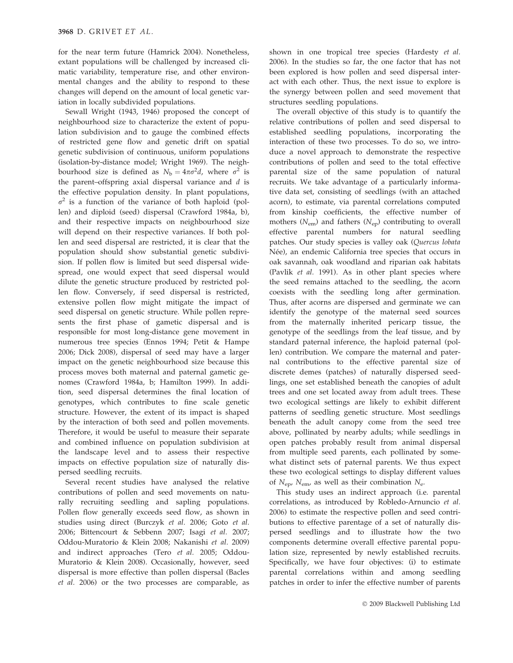for the near term future (Hamrick 2004). Nonetheless, extant populations will be challenged by increased climatic variability, temperature rise, and other environmental changes and the ability to respond to these changes will depend on the amount of local genetic variation in locally subdivided populations.

Sewall Wright (1943, 1946) proposed the concept of neighbourhood size to characterize the extent of population subdivision and to gauge the combined effects of restricted gene flow and genetic drift on spatial genetic subdivision of continuous, uniform populations (isolation-by-distance model; Wright 1969). The neighbourhood size is defined as  $N_b = 4\pi\sigma^2 d$ , where  $\sigma^2$  is the parent–offspring axial dispersal variance and  $d$  is the effective population density. In plant populations,  $\sigma^2$  is a function of the variance of both haploid (pollen) and diploid (seed) dispersal (Crawford 1984a, b), and their respective impacts on neighbourhood size will depend on their respective variances. If both pollen and seed dispersal are restricted, it is clear that the population should show substantial genetic subdivision. If pollen flow is limited but seed dispersal widespread, one would expect that seed dispersal would dilute the genetic structure produced by restricted pollen flow. Conversely, if seed dispersal is restricted, extensive pollen flow might mitigate the impact of seed dispersal on genetic structure. While pollen represents the first phase of gametic dispersal and is responsible for most long-distance gene movement in numerous tree species (Ennos 1994; Petit & Hampe 2006; Dick 2008), dispersal of seed may have a larger impact on the genetic neighbourhood size because this process moves both maternal and paternal gametic genomes (Crawford 1984a, b; Hamilton 1999). In addition, seed dispersal determines the final location of genotypes, which contributes to fine scale genetic structure. However, the extent of its impact is shaped by the interaction of both seed and pollen movements. Therefore, it would be useful to measure their separate and combined influence on population subdivision at the landscape level and to assess their respective impacts on effective population size of naturally dispersed seedling recruits.

Several recent studies have analysed the relative contributions of pollen and seed movements on naturally recruiting seedling and sapling populations. Pollen flow generally exceeds seed flow, as shown in studies using direct (Burczyk et al. 2006; Goto et al. 2006; Bittencourt & Sebbenn 2007; Isagi et al. 2007; Oddou-Muratorio & Klein 2008; Nakanishi et al. 2009) and indirect approaches (Tero et al. 2005; Oddou-Muratorio & Klein 2008). Occasionally, however, seed dispersal is more effective than pollen dispersal (Bacles et al. 2006) or the two processes are comparable, as

shown in one tropical tree species (Hardesty et al. 2006). In the studies so far, the one factor that has not been explored is how pollen and seed dispersal interact with each other. Thus, the next issue to explore is the synergy between pollen and seed movement that structures seedling populations.

The overall objective of this study is to quantify the relative contributions of pollen and seed dispersal to established seedling populations, incorporating the interaction of these two processes. To do so, we introduce a novel approach to demonstrate the respective contributions of pollen and seed to the total effective parental size of the same population of natural recruits. We take advantage of a particularly informative data set, consisting of seedlings (with an attached acorn), to estimate, via parental correlations computed from kinship coefficients, the effective number of mothers  $(N_{\rm em})$  and fathers  $(N_{\rm ep})$  contributing to overall effective parental numbers for natural seedling patches. Our study species is valley oak (Quercus lobata Née), an endemic California tree species that occurs in oak savannah, oak woodland and riparian oak habitats (Pavlik et al. 1991). As in other plant species where the seed remains attached to the seedling, the acorn coexists with the seedling long after germination. Thus, after acorns are dispersed and germinate we can identify the genotype of the maternal seed sources from the maternally inherited pericarp tissue, the genotype of the seedlings from the leaf tissue, and by standard paternal inference, the haploid paternal (pollen) contribution. We compare the maternal and paternal contributions to the effective parental size of discrete demes (patches) of naturally dispersed seedlings, one set established beneath the canopies of adult trees and one set located away from adult trees. These two ecological settings are likely to exhibit different patterns of seedling genetic structure. Most seedlings beneath the adult canopy come from the seed tree above, pollinated by nearby adults; while seedlings in open patches probably result from animal dispersal from multiple seed parents, each pollinated by somewhat distinct sets of paternal parents. We thus expect these two ecological settings to display different values of  $N_{\text{ep}}$ ,  $N_{\text{em}}$ , as well as their combination  $N_{\text{e}}$ .

This study uses an indirect approach (i.e. parental correlations, as introduced by Robledo-Arnuncio et al. 2006) to estimate the respective pollen and seed contributions to effective parentage of a set of naturally dispersed seedlings and to illustrate how the two components determine overall effective parental population size, represented by newly established recruits. Specifically, we have four objectives: (i) to estimate parental correlations within and among seedling patches in order to infer the effective number of parents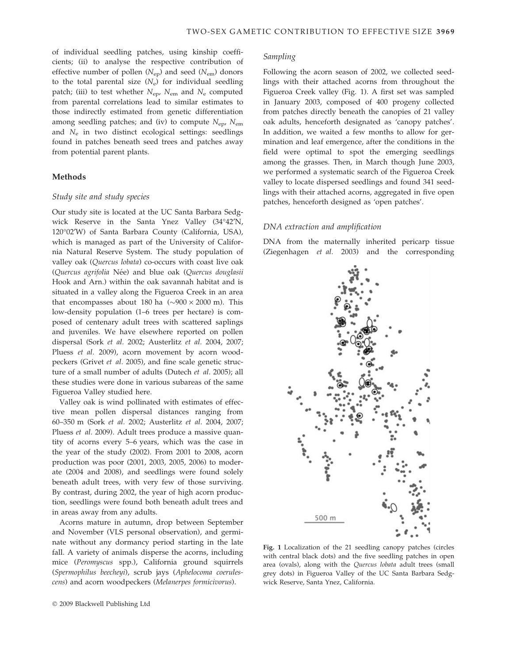of individual seedling patches, using kinship coefficients; (ii) to analyse the respective contribution of effective number of pollen  $(N_{ep})$  and seed  $(N_{em})$  donors to the total parental size  $(N_e)$  for individual seedling patch; (iii) to test whether  $N_{\rm ep}$ ,  $N_{\rm em}$  and  $N_{\rm e}$  computed from parental correlations lead to similar estimates to those indirectly estimated from genetic differentiation among seedling patches; and (iv) to compute  $N_{ep}$ ,  $N_{em}$ and  $N_e$  in two distinct ecological settings: seedlings found in patches beneath seed trees and patches away from potential parent plants.

## Methods

### Study site and study species

Our study site is located at the UC Santa Barbara Sedgwick Reserve in the Santa Ynez Valley (34°42'N, 120"02¢W) of Santa Barbara County (California, USA), which is managed as part of the University of California Natural Reserve System. The study population of valley oak (Quercus lobata) co-occurs with coast live oak (Quercus agrifolia Née) and blue oak (Quercus douglasii Hook and Arn.) within the oak savannah habitat and is situated in a valley along the Figueroa Creek in an area that encompasses about 180 ha  $({\sim}900 \times 2000 \text{ m})$ . This low-density population (1–6 trees per hectare) is composed of centenary adult trees with scattered saplings and juveniles. We have elsewhere reported on pollen dispersal (Sork et al. 2002; Austerlitz et al. 2004, 2007; Pluess et al. 2009), acorn movement by acorn woodpeckers (Grivet et al. 2005), and fine scale genetic structure of a small number of adults (Dutech et al. 2005); all these studies were done in various subareas of the same Figueroa Valley studied here.

Valley oak is wind pollinated with estimates of effective mean pollen dispersal distances ranging from 60–350 m (Sork et al. 2002; Austerlitz et al. 2004, 2007; Pluess et al. 2009). Adult trees produce a massive quantity of acorns every 5–6 years, which was the case in the year of the study (2002). From 2001 to 2008, acorn production was poor (2001, 2003, 2005, 2006) to moderate (2004 and 2008), and seedlings were found solely beneath adult trees, with very few of those surviving. By contrast, during 2002, the year of high acorn production, seedlings were found both beneath adult trees and in areas away from any adults.

Acorns mature in autumn, drop between September and November (VLS personal observation), and germinate without any dormancy period starting in the late fall. A variety of animals disperse the acorns, including mice (Peromyscus spp.), California ground squirrels (Spermophilus beecheyi), scrub jays (Aphelocoma coerulescens) and acorn woodpeckers (Melanerpes formicivorus).

#### Sampling

Following the acorn season of 2002, we collected seedlings with their attached acorns from throughout the Figueroa Creek valley (Fig. 1). A first set was sampled in January 2003, composed of 400 progeny collected from patches directly beneath the canopies of 21 valley oak adults, henceforth designated as 'canopy patches'. In addition, we waited a few months to allow for germination and leaf emergence, after the conditions in the field were optimal to spot the emerging seedlings among the grasses. Then, in March though June 2003, we performed a systematic search of the Figueroa Creek valley to locate dispersed seedlings and found 341 seedlings with their attached acorns, aggregated in five open patches, henceforth designed as 'open patches'.

## DNA extraction and amplification

DNA from the maternally inherited pericarp tissue (Ziegenhagen et al. 2003) and the corresponding



Fig. 1 Localization of the 21 seedling canopy patches (circles with central black dots) and the five seedling patches in open area (ovals), along with the Quercus lobata adult trees (small grey dots) in Figueroa Valley of the UC Santa Barbara Sedgwick Reserve, Santa Ynez, California.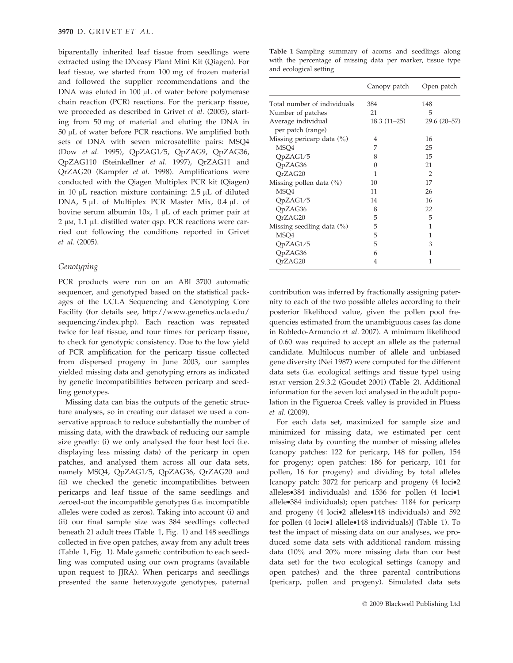biparentally inherited leaf tissue from seedlings were extracted using the DNeasy Plant Mini Kit (Qiagen). For leaf tissue, we started from 100 mg of frozen material and followed the supplier recommendations and the DNA was eluted in 100 µL of water before polymerase chain reaction (PCR) reactions. For the pericarp tissue, we proceeded as described in Grivet et al. (2005), starting from 50 mg of material and eluting the DNA in 50 µL of water before PCR reactions. We amplified both sets of DNA with seven microsatellite pairs: MSQ4 (Dow et al. 1995), QpZAG1/5, QpZAG9, QpZAG36, QpZAG110 (Steinkellner et al. 1997), QrZAG11 and QrZAG20 (Kampfer et al. 1998). Amplifications were conducted with the Qiagen Multiplex PCR kit (Qiagen) in 10  $\mu$ L reaction mixture containing: 2.5  $\mu$ L of diluted DNA, 5 µL of Multiplex PCR Master Mix, 0.4 µL of bovine serum albumin  $10x$ ,  $1 \mu$ L of each primer pair at  $2 \mu$ M,  $1.1 \mu$ L distilled water qsp. PCR reactions were carried out following the conditions reported in Grivet et al. (2005).

# Genotyping

PCR products were run on an ABI 3700 automatic sequencer, and genotyped based on the statistical packages of the UCLA Sequencing and Genotyping Core Facility (for details see, http://www.genetics.ucla.edu/ sequencing/index.php). Each reaction was repeated twice for leaf tissue, and four times for pericarp tissue, to check for genotypic consistency. Due to the low yield of PCR amplification for the pericarp tissue collected from dispersed progeny in June 2003, our samples yielded missing data and genotyping errors as indicated by genetic incompatibilities between pericarp and seedling genotypes.

Missing data can bias the outputs of the genetic structure analyses, so in creating our dataset we used a conservative approach to reduce substantially the number of missing data, with the drawback of reducing our sample size greatly: (i) we only analysed the four best loci (i.e. displaying less missing data) of the pericarp in open patches, and analysed them across all our data sets, namely MSQ4, QpZAG1/5, QpZAG36, QrZAG20 and (ii) we checked the genetic incompatibilities between pericarps and leaf tissue of the same seedlings and zeroed-out the incompatible genotypes (i.e. incompatible alleles were coded as zeros). Taking into account (i) and (ii) our final sample size was 384 seedlings collected beneath 21 adult trees (Table 1, Fig. 1) and 148 seedlings collected in five open patches, away from any adult trees (Table 1, Fig. 1). Male gametic contribution to each seedling was computed using our own programs (available upon request to JJRA). When pericarps and seedlings presented the same heterozygote genotypes, paternal

| Table 1 Sampling summary of acorns and seedlings along      |  |  |  |  |
|-------------------------------------------------------------|--|--|--|--|
| with the percentage of missing data per marker, tissue type |  |  |  |  |
| and ecological setting                                      |  |  |  |  |

|                               | Canopy patch  | Open patch     |
|-------------------------------|---------------|----------------|
| Total number of individuals   | 384           | 148            |
| Number of patches             | 21            | 5              |
| Average individual            | $18.3(11-25)$ | $29.6(20-57)$  |
| per patch (range)             |               |                |
| Missing pericarp data $(\%)$  | 4             | 16             |
| MSQ4                          | 7             | 25             |
| QpZAG1/5                      | 8             | 15             |
| QpZAG36                       | 0             | 21             |
| OrZAG20                       | 1             | $\overline{2}$ |
| Missing pollen data $(\% )$   | 10            | 17             |
| MSQ4                          | 11            | 26             |
| QpZAG1/5                      | 14            | 16             |
| QpZAG36                       | 8             | 22             |
| OrZAG20                       | 5             | 5              |
| Missing seedling data $(\% )$ | 5             | 1              |
| MSQ4                          | 5             | 1              |
| QpZAG1/5                      | 5             | 3              |
| QpZAG36                       | 6             | 1              |
| OrZAG20                       | 4             | 1              |

contribution was inferred by fractionally assigning paternity to each of the two possible alleles according to their posterior likelihood value, given the pollen pool frequencies estimated from the unambiguous cases (as done in Robledo-Arnuncio et al. 2007). A minimum likelihood of 0.60 was required to accept an allele as the paternal candidate. Multilocus number of allele and unbiased gene diversity (Nei 1987) were computed for the different data sets (i.e. ecological settings and tissue type) using FSTAT version 2.9.3.2 (Goudet 2001) (Table 2). Additional information for the seven loci analysed in the adult population in the Figueroa Creek valley is provided in Pluess et al. (2009).

For each data set, maximized for sample size and minimized for missing data, we estimated per cent missing data by counting the number of missing alleles (canopy patches: 122 for pericarp, 148 for pollen, 154 for progeny; open patches: 186 for pericarp, 101 for pollen, 16 for progeny) and dividing by total alleles [canopy patch: 3072 for pericarp and progeny (4 loci•2 alleles•384 individuals) and 1536 for pollen (4 loci•1 allele•384 individuals); open patches: 1184 for pericarp and progeny (4 loci•2 alleles•148 individuals) and 592 for pollen (4 loci•1 allele•148 individuals)] (Table 1). To test the impact of missing data on our analyses, we produced some data sets with additional random missing data (10% and 20% more missing data than our best data set) for the two ecological settings (canopy and open patches) and the three parental contributions (pericarp, pollen and progeny). Simulated data sets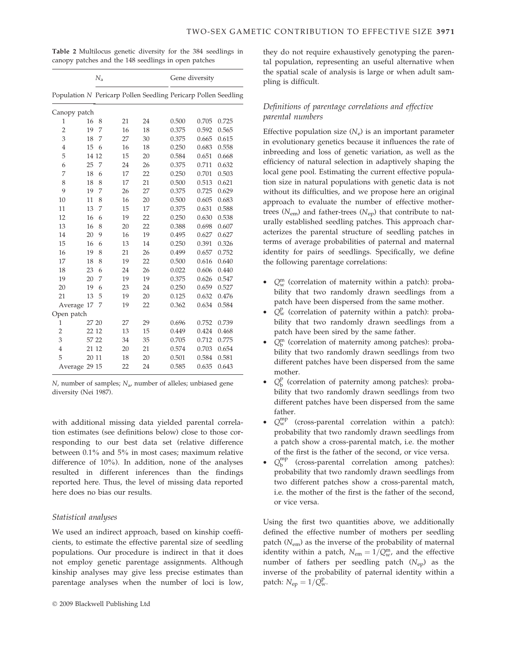Table 2 Multilocus genetic diversity for the 384 seedlings in canopy patches and the 148 seedlings in open patches

|                                                                |       | $N_{\rm a}$ |    |    | Gene diversity |       |       |  |
|----------------------------------------------------------------|-------|-------------|----|----|----------------|-------|-------|--|
| Population N Pericarp Pollen Seedling Pericarp Pollen Seedling |       |             |    |    |                |       |       |  |
| Canopy patch                                                   |       |             |    |    |                |       |       |  |
| 1                                                              | 16    | 8           | 21 | 24 | 0.500          | 0.705 | 0.725 |  |
| $\overline{2}$                                                 | 19    | 7           | 16 | 18 | 0.375          | 0.592 | 0.565 |  |
| 3                                                              | 18    | 7           | 27 | 30 | 0.375          | 0.665 | 0.615 |  |
| $\overline{4}$                                                 | 15    | 6           | 16 | 18 | 0.250          | 0.683 | 0.558 |  |
| 5                                                              |       | 14 12       | 15 | 20 | 0.584          | 0.651 | 0.668 |  |
| 6                                                              | 25    | 7           | 24 | 26 | 0.375          | 0.711 | 0.632 |  |
| 7                                                              | 18    | 6           | 17 | 22 | 0.250          | 0.701 | 0.503 |  |
| 8                                                              | 18    | 8           | 17 | 21 | 0.500          | 0.513 | 0.621 |  |
| 9                                                              | 19    | 7           | 26 | 27 | 0.375          | 0.725 | 0.629 |  |
| 10                                                             | 11    | 8           | 16 | 20 | 0.500          | 0.605 | 0.683 |  |
| 11                                                             | 13    | 7           | 15 | 17 | 0.375          | 0.631 | 0.588 |  |
| 12                                                             | 16    | 6           | 19 | 22 | 0.250          | 0.630 | 0.538 |  |
| 13                                                             | 16    | 8           | 20 | 22 | 0.388          | 0.698 | 0.607 |  |
| 14                                                             | 20    | 9           | 16 | 19 | 0.495          | 0.627 | 0.627 |  |
| 15                                                             | 16    | 6           | 13 | 14 | 0.250          | 0.391 | 0.326 |  |
| 16                                                             | 19    | 8           | 21 | 26 | 0.499          | 0.657 | 0.752 |  |
| 17                                                             | 18    | 8           | 19 | 22 | 0.500          | 0.616 | 0.640 |  |
| 18                                                             | 23    | 6           | 24 | 26 | 0.022          | 0.606 | 0.440 |  |
| 19                                                             | 20    | 7           | 19 | 19 | 0.375          | 0.626 | 0.547 |  |
| 20                                                             | 19    | 6           | 23 | 24 | 0.250          | 0.659 | 0.527 |  |
| 21                                                             | 13    | 5           | 19 | 20 | 0.125          | 0.632 | 0.476 |  |
| Average 17                                                     |       | 7           | 19 | 22 | 0.362          | 0.634 | 0.584 |  |
| Open patch                                                     |       |             |    |    |                |       |       |  |
| 1                                                              |       | 27 20       | 27 | 29 | 0.696          | 0.752 | 0.739 |  |
| $\overline{2}$                                                 |       | 22 12       | 13 | 15 | 0.449          | 0.424 | 0.468 |  |
| 3                                                              |       | 57 22       | 34 | 35 | 0.705          | 0.712 | 0.775 |  |
| $\overline{4}$                                                 |       | 21 12       | 20 | 21 | 0.574          | 0.703 | 0.654 |  |
| 5                                                              | 20 11 |             | 18 | 20 | 0.501          | 0.584 | 0.581 |  |
| Average 29 15                                                  |       |             | 22 | 24 | 0.585          | 0.635 | 0.643 |  |

N, number of samples;  $N_a$ , number of alleles; unbiased gene diversity (Nei 1987).

with additional missing data yielded parental correlation estimates (see definitions below) close to those corresponding to our best data set (relative difference between 0.1% and 5% in most cases; maximum relative difference of 10%). In addition, none of the analyses resulted in different inferences than the findings reported here. Thus, the level of missing data reported here does no bias our results.

# Statistical analyses

We used an indirect approach, based on kinship coefficients, to estimate the effective parental size of seedling populations. Our procedure is indirect in that it does not employ genetic parentage assignments. Although kinship analyses may give less precise estimates than parentage analyses when the number of loci is low, they do not require exhaustively genotyping the parental population, representing an useful alternative when the spatial scale of analysis is large or when adult sampling is difficult.

# Definitions of parentage correlations and effective parental numbers

Effective population size  $(N_e)$  is an important parameter in evolutionary genetics because it influences the rate of inbreeding and loss of genetic variation, as well as the efficiency of natural selection in adaptively shaping the local gene pool. Estimating the current effective population size in natural populations with genetic data is not without its difficulties, and we propose here an original approach to evaluate the number of effective mothertrees ( $N_{\rm em}$ ) and father-trees ( $N_{\rm ep}$ ) that contribute to naturally established seedling patches. This approach characterizes the parental structure of seedling patches in terms of average probabilities of paternal and maternal identity for pairs of seedlings. Specifically, we define the following parentage correlations:

- $Q_w^m$  (correlation of maternity within a patch): probability that two randomly drawn seedlings from a patch have been dispersed from the same mother.
- $Q^P_w$  (correlation of paternity within a patch): probability that two randomly drawn seedlings from a patch have been sired by the same father.
- $Q_b^m$  (correlation of maternity among patches): probability that two randomly drawn seedlings from two different patches have been dispersed from the same mother.
- $Q_{b}^{p}$  (correlation of paternity among patches): probability that two randomly drawn seedlings from two different patches have been dispersed from the same father.
- $Q_w^{mp}$  (cross-parental correlation within a patch): probability that two randomly drawn seedlings from a patch show a cross-parental match, i.e. the mother of the first is the father of the second, or vice versa.
- $Q_{\rm b}^{\rm mp}$  (cross-parental correlation among patches): probability that two randomly drawn seedlings from two different patches show a cross-parental match, i.e. the mother of the first is the father of the second, or vice versa.

Using the first two quantities above, we additionally defined the effective number of mothers per seedling patch  $(N_{em})$  as the inverse of the probability of maternal identity within a patch,  $N_{\text{em}} = 1/Q_{\text{w}}^{\text{m}}$ , and the effective number of fathers per seedling patch  $(N_{ep})$  as the inverse of the probability of paternal identity within a patch:  $N_{ep} = 1/Q_w^p$ .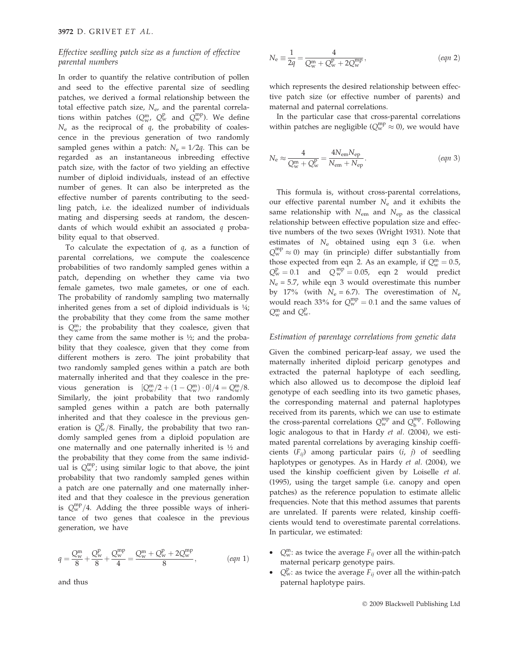# Effective seedling patch size as a function of effective parental numbers

In order to quantify the relative contribution of pollen and seed to the effective parental size of seedling patches, we derived a formal relationship between the total effective patch size,  $N_e$ , and the parental correlations within patches  $(Q_w^m, Q_w^p$  and  $Q_w^{mp}$ ). We define  $N_e$  as the reciprocal of  $q$ , the probability of coalescence in the previous generation of two randomly sampled genes within a patch:  $N_e = 1/2q$ . This can be regarded as an instantaneous inbreeding effective patch size, with the factor of two yielding an effective number of diploid individuals, instead of an effective number of genes. It can also be interpreted as the effective number of parents contributing to the seedling patch, i.e. the idealized number of individuals mating and dispersing seeds at random, the descendants of which would exhibit an associated q probability equal to that observed.

To calculate the expectation of  $q$ , as a function of parental correlations, we compute the coalescence probabilities of two randomly sampled genes within a patch, depending on whether they came via two female gametes, two male gametes, or one of each. The probability of randomly sampling two maternally inherited genes from a set of diploid individuals is ¼; the probability that they come from the same mother is  $Q_w^m$ ; the probability that they coalesce, given that they came from the same mother is  $\frac{1}{2}$ ; and the probability that they coalesce, given that they come from different mothers is zero. The joint probability that two randomly sampled genes within a patch are both maternally inherited and that they coalesce in the previous generation is  $[Q_w^m/2 + (1 - Q_w^m) \cdot 0]/4 = Q_w^m/8$ . Similarly, the joint probability that two randomly sampled genes within a patch are both paternally inherited and that they coalesce in the previous generation is  $Q_w^p/8$ . Finally, the probability that two randomly sampled genes from a diploid population are one maternally and one paternally inherited is ½ and the probability that they come from the same individual is  $Q_{\rm w}^{\rm mp}$ ; using similar logic to that above, the joint probability that two randomly sampled genes within a patch are one paternally and one maternally inherited and that they coalesce in the previous generation is  $Q_{\rm w}^{\rm mp}/4$ . Adding the three possible ways of inheritance of two genes that coalesce in the previous generation, we have

$$
q = \frac{Q_{\rm w}^{\rm m}}{8} + \frac{Q_{\rm w}^{\rm p}}{8} + \frac{Q_{\rm w}^{\rm mp}}{4} = \frac{Q_{\rm w}^{\rm m} + Q_{\rm w}^{\rm p} + 2Q_{\rm w}^{\rm mp}}{8},
$$
 (eqn 1)

and thus

$$
N_{\rm e} \equiv \frac{1}{2q} = \frac{4}{Q_{\rm w}^{\rm m} + Q_{\rm w}^{\rm p} + 2Q_{\rm w}^{\rm mp}},
$$
 (eqn 2)

which represents the desired relationship between effective patch size (or effective number of parents) and maternal and paternal correlations.

In the particular case that cross-parental correlations within patches are negligible  $(Q_w^{mp} \approx 0)$ , we would have

$$
N_{\rm e} \approx \frac{4}{Q_{\rm w}^{\rm m} + Q_{\rm w}^{\rm P}} = \frac{4 N_{\rm em} N_{\rm ep}}{N_{\rm em} + N_{\rm ep}}.\tag{eqn\ 3}
$$

This formula is, without cross-parental correlations, our effective parental number  $N_e$  and it exhibits the same relationship with  $N_{\text{em}}$  and  $N_{\text{ep}}$  as the classical relationship between effective population size and effective numbers of the two sexes (Wright 1931). Note that estimates of  $N_e$  obtained using eqn 3 (i.e. when  $Q_w^{\text{mp}} \approx 0$ ) may (in principle) differ substantially from those expected from eqn 2. As an example, if  $Q_w^m = 0.5$ ,  $Q_w^{\text{p}} = 0.1$  and  $Q_w^{\text{mp}} = 0.05$ , eqn 2 would predict  $N_e = 5.7$ , while eqn 3 would overestimate this number by 17% (with  $N_e = 6.7$ ). The overestimation of  $N_e$ would reach 33% for  $Q_w^{mp} = 0.1$  and the same values of  $Q_w^m$  and  $Q_w^p$ .

## Estimation of parentage correlations from genetic data

Given the combined pericarp-leaf assay, we used the maternally inherited diploid pericarp genotypes and extracted the paternal haplotype of each seedling, which also allowed us to decompose the diploid leaf genotype of each seedling into its two gametic phases, the corresponding maternal and paternal haplotypes received from its parents, which we can use to estimate the cross-parental correlations  $Q_w^{mp}$  and  $Q_b^{mp}$ . Following logic analogous to that in Hardy et al. (2004), we estimated parental correlations by averaging kinship coefficients  $(F_{ii})$  among particular pairs  $(i, j)$  of seedling haplotypes or genotypes. As in Hardy et al. (2004), we used the kinship coefficient given by Loiselle et al. (1995), using the target sample (i.e. canopy and open patches) as the reference population to estimate allelic frequencies. Note that this method assumes that parents are unrelated. If parents were related, kinship coefficients would tend to overestimate parental correlations. In particular, we estimated:

- $Q_w^m$ : as twice the average  $F_{ij}$  over all the within-patch maternal pericarp genotype pairs.
- $Q_w^{\text{P}}$ : as twice the average  $F_{ij}$  over all the within-patch paternal haplotype pairs.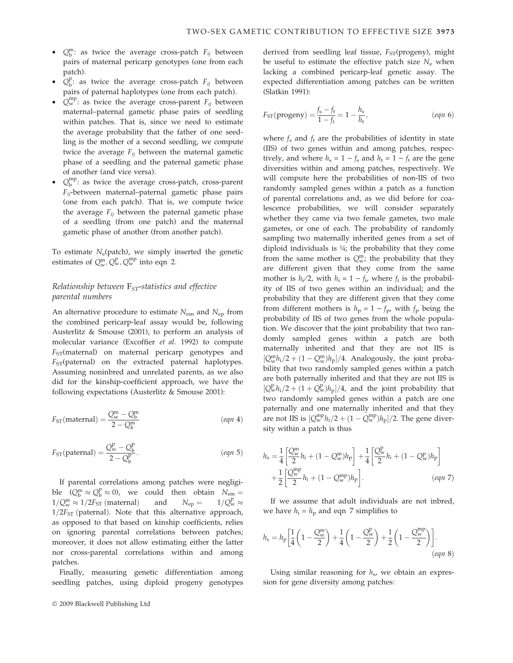- $Q_{\rm b}^{\rm m}$ : as twice the average cross-patch  $F_{ij}$  between pairs of maternal pericarp genotypes (one from each patch).
- $Q_{b}^{p}$ : as twice the average cross-patch  $F_{ij}$  between pairs of paternal haplotypes (one from each patch).
- $Q_w^{mp}$ : as twice the average cross-parent  $F_{ij}$  between maternal–paternal gametic phase pairs of seedling within patches. That is, since we need to estimate the average probability that the father of one seedling is the mother of a second seedling, we compute twice the average  $F_{ij}$  between the maternal gametic phase of a seedling and the paternal gametic phase of another (and vice versa).
- $Q_{\rm b}^{\rm mp}$ : as twice the average cross-patch, cross-parent  $F_{ij}$ -between maternal–paternal gametic phase pairs (one from each patch). That is, we compute twice the average  $F_{ij}$  between the paternal gametic phase of a seedling (from one patch) and the maternal gametic phase of another (from another patch).

To estimate  $N_e$ (patch), we simply inserted the genetic estimates of  $Q_w^m, Q_w^p, Q_w^{mp}$  into eqn 2.

# Relationship between  $F_{ST}$ -statistics and effective parental numbers

An alternative procedure to estimate  $N_{\rm em}$  and  $N_{\rm ep}$  from the combined pericarp-leaf assay would be, following Austerlitz & Smouse (2001), to perform an analysis of molecular variance (Excoffier et al. 1992) to compute  $F_{ST}$ (maternal) on maternal pericarp genotypes and  $F_{ST}$ (paternal) on the extracted paternal haplotypes. Assuming noninbred and unrelated parents, as we also did for the kinship-coefficient approach, we have the following expectations (Austerlitz & Smouse 2001):

$$
F_{ST}(\text{material}) = \frac{Q_w^{\text{m}} - Q_b^{\text{m}}}{2 - Q_b^{\text{m}}}
$$
 (eqn 4)

$$
F_{ST}(\text{patternal}) = \frac{Q_w^P - Q_b^P}{2 - Q_b^P}.
$$
 (eqn 5)

If parental correlations among patches were negligible  $(Q_b^m \approx Q_b^p \approx 0)$ , we could then obtain  $N_{em}$  =  $1/Q_w^m \approx 1/2F_{ST}$  (maternal) and  $N_{ep} = 1/Q_w^p$  $1/Q_{\rm w}^{\rm p} \approx$  $1/2F<sub>ST</sub>$  (paternal). Note that this alternative approach, as opposed to that based on kinship coefficients, relies on ignoring parental correlations between patches; moreover, it does not allow estimating either the latter nor cross-parental correlations within and among patches.

Finally, measuring genetic differentiation among seedling patches, using diploid progeny genotypes derived from seedling leaf tissue,  $F_{ST}$ (progeny), might be useful to estimate the effective patch size  $N_e$  when lacking a combined pericarp-leaf genetic assay. The expected differentiation among patches can be written (Slatkin 1991):

$$
F_{ST}(\text{progeny}) = \frac{f_s - f_t}{1 - f_t} = 1 - \frac{h_s}{h_t},
$$
 (eqn 6)

where  $f_s$  and  $f_t$  are the probabilities of identity in state (IIS) of two genes within and among patches, respectively, and where  $h_s = 1 - f_s$  and  $h_t = 1 - f_t$  are the gene diversities within and among patches, respectively. We will compute here the probabilities of non-IIS of two randomly sampled genes within a patch as a function of parental correlations and, as we did before for coalescence probabilities, we will consider separately whether they came via two female gametes, two male gametes, or one of each. The probability of randomly sampling two maternally inherited genes from a set of diploid individuals is ¼; the probability that they come from the same mother is  $Q_w^m$ ; the probability that they are different given that they come from the same mother is  $h_i/2$ , with  $h_i = 1 - f_i$ , where  $f_i$  is the probability of IIS of two genes within an individual; and the probability that they are different given that they come from different mothers is  $h_p = 1 - f_p$ , with  $f_p$  being the probability of IIS of two genes from the whole population. We discover that the joint probability that two randomly sampled genes within a patch are both maternally inherited and that they are not IIS is  $[Q_w^m h_i/2 + (1 - Q_w^m)h_p]/4$ . Analogously, the joint probability that two randomly sampled genes within a patch are both paternally inherited and that they are not IIS is  $[Q_w^p h_i/2 + (1 + Q_w^p)h_p]/4$ , and the joint probability that two randomly sampled genes within a patch are one paternally and one maternally inherited and that they are not IIS is  $[Q_w^{mp}h_i/2 + (1 - Q_w^{mp})h_p]/2$ . The gene diversity within a patch is thus

$$
h_{s} = \frac{1}{4} \left[ \frac{Q_{w}^{m}}{2} h_{i} + (1 - Q_{w}^{m}) h_{p} \right] + \frac{1}{4} \left[ \frac{Q_{w}^{p}}{2} h_{i} + (1 - Q_{w}^{p}) h_{p} \right] + \frac{1}{2} \left[ \frac{Q_{w}^{m p}}{2} h_{i} + (1 - Q_{w}^{m p}) h_{p} \right].
$$
\n(eqn)

If we assume that adult individuals are not inbred, we have  $h_i = h_p$  and eqn 7 simplifies to

$$
h_{s} = h_{p} \left[ \frac{1}{4} \left( 1 - \frac{Q_{w}^{m}}{2} \right) + \frac{1}{4} \left( 1 - \frac{Q_{w}^{p}}{2} \right) + \frac{1}{2} \left( 1 - \frac{Q_{w}^{mp}}{2} \right) \right].
$$
  
(eqn 8)

Using similar reasoning for  $h_s$ , we obtain an expression for gene diversity among patches: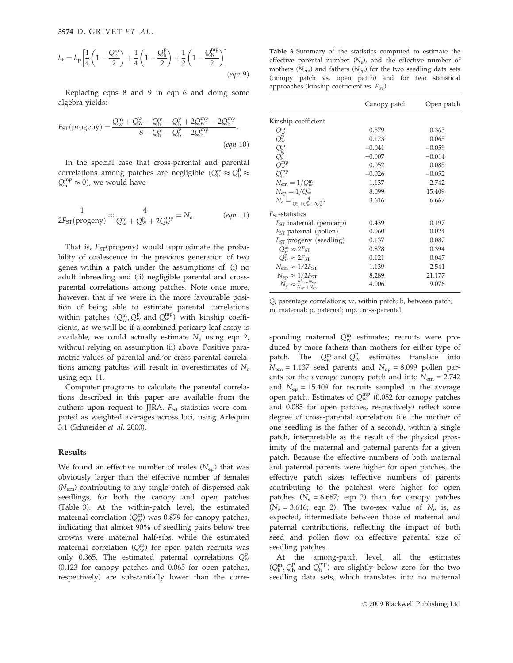$$
h_{\rm t} = h_{\rm p} \left[ \frac{1}{4} \left( 1 - \frac{Q_{\rm b}^{\rm m}}{2} \right) + \frac{1}{4} \left( 1 - \frac{Q_{\rm b}^{\rm p}}{2} \right) + \frac{1}{2} \left( 1 - \frac{Q_{\rm b}^{\rm mp}}{2} \right) \right]
$$
\n(eqn 9)

Replacing eqns 8 and 9 in eqn 6 and doing some algebra yields:

$$
F_{ST}(programy) = \frac{Q_w^m + Q_b^p - Q_b^m - Q_b^p + 2Q_w^{mp} - 2Q_b^{mp}}{8 - Q_b^m - Q_b^p - 2Q_b^{mp}}.
$$
  
(eqn 10)

In the special case that cross-parental and parental correlations among patches are negligible  $(Q_b^m \approx Q_b^p \approx$  $Q_b^{\text{mp}} \approx 0$ , we would have

$$
\frac{1}{2\textit{F}_{ST}(program)} \approx \frac{4}{Q^m_w + Q^p_w + 2Q^{mp}_w} = N_e. \tag{eqn\ 11}
$$

That is,  $F_{ST}$ (progeny) would approximate the probability of coalescence in the previous generation of two genes within a patch under the assumptions of: (i) no adult inbreeding and (ii) negligible parental and crossparental correlations among patches. Note once more, however, that if we were in the more favourable position of being able to estimate parental correlations within patches  $(Q_w^m, Q_w^p$  and  $Q_w^{mp})$  with kinship coefficients, as we will be if a combined pericarp-leaf assay is available, we could actually estimate  $N_e$  using eqn 2, without relying on assumption (ii) above. Positive parametric values of parental and/or cross-parental correlations among patches will result in overestimates of  $N_e$ using eqn 11.

Computer programs to calculate the parental correlations described in this paper are available from the authors upon request to JJRA.  $F_{ST}$ -statistics were computed as weighted averages across loci, using Arlequin 3.1 (Schneider et al. 2000).

#### Results

We found an effective number of males  $(N_{ep})$  that was obviously larger than the effective number of females (Nem) contributing to any single patch of dispersed oak seedlings, for both the canopy and open patches (Table 3). At the within-patch level, the estimated maternal correlation  $(Q_w^m)$  was 0.879 for canopy patches, indicating that almost 90% of seedling pairs below tree crowns were maternal half-sibs, while the estimated maternal correlation  $(Q_w^m)$  for open patch recruits was only 0.365. The estimated paternal correlations  $Q_w^p$ (0.123 for canopy patches and 0.065 for open patches, respectively) are substantially lower than the corre-

Table 3 Summary of the statistics computed to estimate the effective parental number  $(N_e)$ , and the effective number of mothers ( $N_{\text{em}}$ ) and fathers ( $N_{\text{ep}}$ ) for the two seedling data sets (canopy patch vs. open patch) and for two statistical approaches (kinship coefficient vs.  $F_{ST}$ )

|                                                                                                                                               | Canopy patch | Open patch |
|-----------------------------------------------------------------------------------------------------------------------------------------------|--------------|------------|
| Kinship coefficient                                                                                                                           |              |            |
| $Q_w^m$                                                                                                                                       | 0.879        | 0.365      |
| $Q_{\rm w}^{\rm p}$                                                                                                                           | 0.123        | 0.065      |
| $Q_{\rm b}^{\rm m}$                                                                                                                           | $-0.041$     | $-0.059$   |
| $Q_{\rm b}^{\rm p}$                                                                                                                           | $-0.007$     | $-0.014$   |
| $Q_{\rm w}^{\rm \bar mp}$                                                                                                                     | 0.052        | 0.085      |
| $Q_{\rm h}^{\rm mp}$                                                                                                                          | $-0.026$     | $-0.052$   |
| $N_{\rm em} = 1/Q_{\rm nr}^{\rm m}$                                                                                                           | 1.137        | 2.742      |
| $N_{\rm ep} = 1/Q_{\rm w}^{\rm p}$                                                                                                            | 8.099        | 15.409     |
| $N_e = \frac{4}{Q_{\dots}^m + Q_{\dots}^p + 2Q_{\dots}^{mp}}$                                                                                 | 3.616        | 6.667      |
| $FST$ -statistics                                                                                                                             |              |            |
| $F_{ST}$ maternal (pericarp)                                                                                                                  | 0.439        | 0.197      |
| $F_{ST}$ paternal (pollen)                                                                                                                    | 0.060        | 0.024      |
| $F_{ST}$ progeny (seedling)                                                                                                                   | 0.137        | 0.087      |
| $Q_{\rm w}^{\rm m} \approx 2 F_{\rm ST}$                                                                                                      | 0.878        | 0.394      |
| $O_{\rm w}^{\rm p} \approx 2 F_{\rm ST}$                                                                                                      | 0.121        | 0.047      |
| $N_{\rm em} \approx 1/2F_{\rm ST}$                                                                                                            | 1.139        | 2.541      |
|                                                                                                                                               | 8.289        | 21.177     |
| $\begin{array}{c} N_{\rm ep} \approx 1/2 F_{\rm ST} \\ N_{\rm e} \approx \frac{4 N_{\rm em} N_{\rm ep}}{N_{\rm em} + N_{\rm en}} \end{array}$ | 4.006        | 9.076      |

Q, parentage correlations; w, within patch; b, between patch; m, maternal; p, paternal; mp, cross-parental.

sponding maternal  $Q_w^m$  estimates; recruits were produced by more fathers than mothers for either type of patch. The  $Q_w^m$  and  $Q_w^p$  estimates translate into  $N_{\text{em}}$  = 1.137 seed parents and  $N_{\text{ep}}$  = 8.099 pollen parents for the average canopy patch and into  $N_{\rm em}$  = 2.742 and  $N_{ep}$  = 15.409 for recruits sampled in the average open patch. Estimates of  $Q_{\rm w}^{\rm mp}$  (0.052 for canopy patches and 0.085 for open patches, respectively) reflect some degree of cross-parental correlation (i.e. the mother of one seedling is the father of a second), within a single patch, interpretable as the result of the physical proximity of the maternal and paternal parents for a given patch. Because the effective numbers of both maternal and paternal parents were higher for open patches, the effective patch sizes (effective numbers of parents contributing to the patches) were higher for open patches ( $N_e = 6.667$ ; eqn 2) than for canopy patches  $(N_e = 3.616;$  eqn 2). The two-sex value of  $N_e$  is, as expected, intermediate between those of maternal and paternal contributions, reflecting the impact of both seed and pollen flow on effective parental size of seedling patches.

At the among-patch level, all the estimates  $(Q_{\text{b}}^{\text{m}}, Q_{\text{b}}^{\text{p}}$  and  $Q_{\text{b}}^{\text{mp}})$  are slightly below zero for the two seedling data sets, which translates into no maternal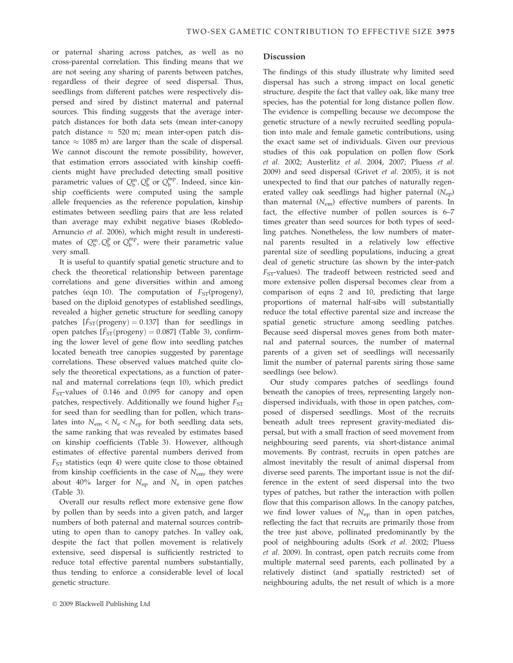or paternal sharing across patches, as well as no cross-parental correlation. This finding means that we are not seeing any sharing of parents between patches, regardless of their degree of seed dispersal. Thus, seedlings from different patches were respectively dispersed and sired by distinct maternal and paternal sources. This finding suggests that the average interpatch distances for both data sets (mean inter-canopy patch distance  $\approx$  520 m; mean inter-open patch distance  $\approx$  1085 m) are larger than the scale of dispersal. We cannot discount the remote possibility, however, that estimation errors associated with kinship coefficients might have precluded detecting small positive parametric values of  $Q_b^m, Q_b^p$  or  $Q_b^{mp}$ . Indeed, since kinship coefficients were computed using the sample allele frequencies as the reference population, kinship estimates between seedling pairs that are less related than average may exhibit negative biases (Robledo-Arnuncio et al. 2006), which might result in underestimates of  $Q_{\rm b}^{\rm m}, Q_{\rm b}^{\rm p}$  or  $Q_{\rm b}^{\rm mp}$ , were their parametric value very small.

It is useful to quantify spatial genetic structure and to check the theoretical relationship between parentage correlations and gene diversities within and among patches (eqn 10). The computation of  $F_{ST}$ (progeny), based on the diploid genotypes of established seedlings, revealed a higher genetic structure for seedling canopy patches  $[\hat{F}_{ST}(program) = 0.137]$  than for seedlings in open patches  $[\vec{F}_{ST}(program) = 0.087]$  (Table 3), confirming the lower level of gene flow into seedling patches located beneath tree canopies suggested by parentage correlations. These observed values matched quite closely the theoretical expectations, as a function of paternal and maternal correlations (eqn 10), which predict  $F<sub>ST</sub>$ -values of 0.146 and 0.095 for canopy and open patches, respectively. Additionally we found higher  $F_{ST}$ for seed than for seedling than for pollen, which translates into  $N_{\text{em}} < N_{\text{e}} < N_{\text{ep}}$  for both seedling data sets, the same ranking that was revealed by estimates based on kinship coefficients (Table 3). However, although estimates of effective parental numbers derived from  $F_{ST}$  statistics (eqn 4) were quite close to those obtained from kinship coefficients in the case of  $N_{\text{em}}$ , they were about 40% larger for  $N_{ep}$  and  $N_e$  in open patches (Table 3).

Overall our results reflect more extensive gene flow by pollen than by seeds into a given patch, and larger numbers of both paternal and maternal sources contributing to open than to canopy patches. In valley oak, despite the fact that pollen movement is relatively extensive, seed dispersal is sufficiently restricted to reduce total effective parental numbers substantially, thus tending to enforce a considerable level of local genetic structure.

# $©$  2009 Blackwell Publishing Ltd

#### Discussion

The findings of this study illustrate why limited seed dispersal has such a strong impact on local genetic structure, despite the fact that valley oak, like many tree species, has the potential for long distance pollen flow. The evidence is compelling because we decompose the genetic structure of a newly recruited seedling population into male and female gametic contributions, using the exact same set of individuals. Given our previous studies of this oak population on pollen flow (Sork et al. 2002; Austerlitz et al. 2004, 2007; Pluess et al. 2009) and seed dispersal (Grivet et al. 2005), it is not unexpected to find that our patches of naturally regenerated valley oak seedlings had higher paternal  $(N_{\rm ep})$ than maternal  $(N_{em})$  effective numbers of parents. In fact, the effective number of pollen sources is 6–7 times greater than seed sources for both types of seedling patches. Nonetheless, the low numbers of maternal parents resulted in a relatively low effective parental size of seedling populations, inducing a great deal of genetic structure (as shown by the inter-patch  $F<sub>ST</sub>$ -values). The tradeoff between restricted seed and more extensive pollen dispersal becomes clear from a comparison of eqns 2 and 10, predicting that large proportions of maternal half-sibs will substantially reduce the total effective parental size and increase the spatial genetic structure among seedling patches. Because seed dispersal moves genes from both maternal and paternal sources, the number of maternal parents of a given set of seedlings will necessarily limit the number of paternal parents siring those same seedlings (see below).

Our study compares patches of seedlings found beneath the canopies of trees, representing largely nondispersed individuals, with those in open patches, composed of dispersed seedlings. Most of the recruits beneath adult trees represent gravity-mediated dispersal, but with a small fraction of seed movement from neighbouring seed parents, via short-distance animal movements. By contrast, recruits in open patches are almost inevitably the result of animal dispersal from diverse seed parents. The important issue is not the difference in the extent of seed dispersal into the two types of patches, but rather the interaction with pollen flow that this comparison allows. In the canopy patches, we find lower values of  $N_{ep}$  than in open patches, reflecting the fact that recruits are primarily those from the tree just above, pollinated predominantly by the pool of neighbouring adults (Sork et al. 2002; Pluess et al. 2009). In contrast, open patch recruits come from multiple maternal seed parents, each pollinated by a relatively distinct (and spatially restricted) set of neighbouring adults, the net result of which is a more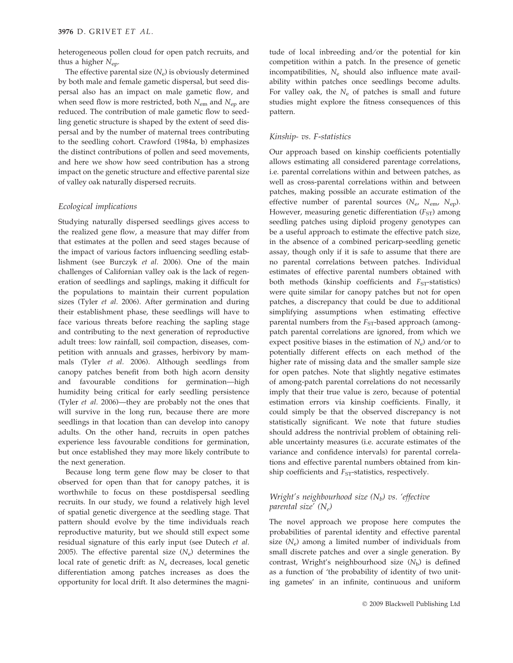heterogeneous pollen cloud for open patch recruits, and thus a higher  $N_{ep}$ .

The effective parental size  $(N_e)$  is obviously determined by both male and female gametic dispersal, but seed dispersal also has an impact on male gametic flow, and when seed flow is more restricted, both  $N_{\text{em}}$  and  $N_{\text{en}}$  are reduced. The contribution of male gametic flow to seedling genetic structure is shaped by the extent of seed dispersal and by the number of maternal trees contributing to the seedling cohort. Crawford (1984a, b) emphasizes the distinct contributions of pollen and seed movements, and here we show how seed contribution has a strong impact on the genetic structure and effective parental size of valley oak naturally dispersed recruits.

## Ecological implications

Studying naturally dispersed seedlings gives access to the realized gene flow, a measure that may differ from that estimates at the pollen and seed stages because of the impact of various factors influencing seedling establishment (see Burczyk et al. 2006). One of the main challenges of Californian valley oak is the lack of regeneration of seedlings and saplings, making it difficult for the populations to maintain their current population sizes (Tyler et al. 2006). After germination and during their establishment phase, these seedlings will have to face various threats before reaching the sapling stage and contributing to the next generation of reproductive adult trees: low rainfall, soil compaction, diseases, competition with annuals and grasses, herbivory by mammals (Tyler et al. 2006). Although seedlings from canopy patches benefit from both high acorn density and favourable conditions for germination—high humidity being critical for early seedling persistence (Tyler et al. 2006)—they are probably not the ones that will survive in the long run, because there are more seedlings in that location than can develop into canopy adults. On the other hand, recruits in open patches experience less favourable conditions for germination, but once established they may more likely contribute to the next generation.

Because long term gene flow may be closer to that observed for open than that for canopy patches, it is worthwhile to focus on these postdispersal seedling recruits. In our study, we found a relatively high level of spatial genetic divergence at the seedling stage. That pattern should evolve by the time individuals reach reproductive maturity, but we should still expect some residual signature of this early input (see Dutech et al. 2005). The effective parental size  $(N_e)$  determines the local rate of genetic drift: as  $N_e$  decreases, local genetic differentiation among patches increases as does the opportunity for local drift. It also determines the magnitude of local inbreeding and/or the potential for kin competition within a patch. In the presence of genetic incompatibilities,  $N_e$  should also influence mate availability within patches once seedlings become adults. For valley oak, the  $N_e$  of patches is small and future studies might explore the fitness consequences of this pattern.

## Kinship- vs. F-statistics

Our approach based on kinship coefficients potentially allows estimating all considered parentage correlations, i.e. parental correlations within and between patches, as well as cross-parental correlations within and between patches, making possible an accurate estimation of the effective number of parental sources  $(N_e, N_{em}, N_{ep})$ . However, measuring genetic differentiation  $(F_{ST})$  among seedling patches using diploid progeny genotypes can be a useful approach to estimate the effective patch size, in the absence of a combined pericarp-seedling genetic assay, though only if it is safe to assume that there are no parental correlations between patches. Individual estimates of effective parental numbers obtained with both methods (kinship coefficients and  $F_{ST}$ -statistics) were quite similar for canopy patches but not for open patches, a discrepancy that could be due to additional simplifying assumptions when estimating effective parental numbers from the  $F_{ST}$ -based approach (amongpatch parental correlations are ignored, from which we expect positive biases in the estimation of  $N_e$ ) and/or to potentially different effects on each method of the higher rate of missing data and the smaller sample size for open patches. Note that slightly negative estimates of among-patch parental correlations do not necessarily imply that their true value is zero, because of potential estimation errors via kinship coefficients. Finally, it could simply be that the observed discrepancy is not statistically significant. We note that future studies should address the nontrivial problem of obtaining reliable uncertainty measures (i.e. accurate estimates of the variance and confidence intervals) for parental correlations and effective parental numbers obtained from kinship coefficients and  $F_{ST}$ -statistics, respectively.

# Wright's neighbourhood size  $(N_b)$  vs. 'effective parental size'  $(N_e)$

The novel approach we propose here computes the probabilities of parental identity and effective parental size  $(N_e)$  among a limited number of individuals from small discrete patches and over a single generation. By contrast, Wright's neighbourhood size  $(N_b)$  is defined as a function of 'the probability of identity of two uniting gametes' in an infinite, continuous and uniform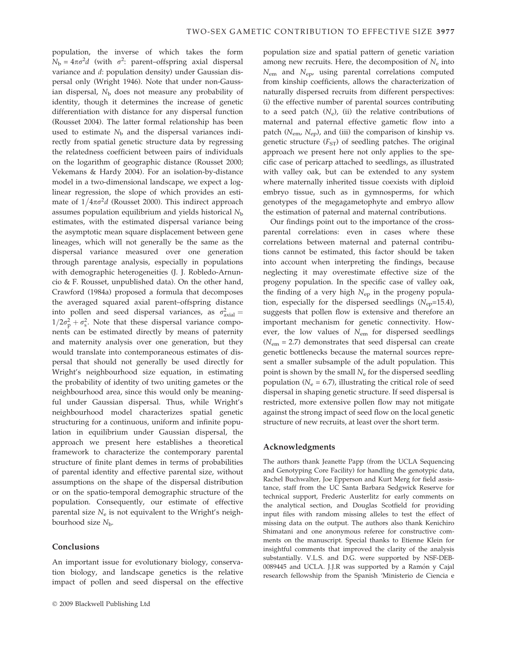population, the inverse of which takes the form  $N_{\rm b} = 4\pi\sigma^2 d$  (with  $\sigma^2$ : parent–offspring axial dispersal variance and d: population density) under Gaussian dispersal only (Wright 1946). Note that under non-Gaussian dispersal,  $N<sub>b</sub>$  does not measure any probability of identity, though it determines the increase of genetic differentiation with distance for any dispersal function (Rousset 2004). The latter formal relationship has been used to estimate  $N<sub>b</sub>$  and the dispersal variances indirectly from spatial genetic structure data by regressing the relatedness coefficient between pairs of individuals on the logarithm of geographic distance (Rousset 2000; Vekemans & Hardy 2004). For an isolation-by-distance model in a two-dimensional landscape, we expect a loglinear regression, the slope of which provides an estimate of  $1/4\pi\sigma^2d$  (Rousset 2000). This indirect approach assumes population equilibrium and yields historical  $N_{\rm b}$ estimates, with the estimated dispersal variance being the asymptotic mean square displacement between gene lineages, which will not generally be the same as the dispersal variance measured over one generation through parentage analysis, especially in populations with demographic heterogeneities (J. J. Robledo-Arnuncio & F. Rousset, unpublished data). On the other hand, Crawford (1984a) proposed a formula that decomposes the averaged squared axial parent–offspring distance into pollen and seed dispersal variances, as  $\sigma_{\text{axial}}^2 =$  $1/2\sigma_{\rm p}^2 + \sigma_{\rm s}^2$ . Note that these dispersal variance components can be estimated directly by means of paternity and maternity analysis over one generation, but they would translate into contemporaneous estimates of dispersal that should not generally be used directly for Wright's neighbourhood size equation, in estimating the probability of identity of two uniting gametes or the neighbourhood area, since this would only be meaningful under Gaussian dispersal. Thus, while Wright's neighbourhood model characterizes spatial genetic structuring for a continuous, uniform and infinite population in equilibrium under Gaussian dispersal, the approach we present here establishes a theoretical framework to characterize the contemporary parental structure of finite plant demes in terms of probabilities of parental identity and effective parental size, without assumptions on the shape of the dispersal distribution or on the spatio-temporal demographic structure of the population. Consequently, our estimate of effective parental size  $N_e$  is not equivalent to the Wright's neighbourhood size  $N_{\rm b}$ .

### Conclusions

An important issue for evolutionary biology, conservation biology, and landscape genetics is the relative impact of pollen and seed dispersal on the effective population size and spatial pattern of genetic variation among new recruits. Here, the decomposition of  $N_e$  into  $N_{\text{em}}$  and  $N_{\text{ep}}$ , using parental correlations computed from kinship coefficients, allows the characterization of naturally dispersed recruits from different perspectives: (i) the effective number of parental sources contributing to a seed patch  $(N_e)$ , (ii) the relative contributions of maternal and paternal effective gametic flow into a patch ( $N_{\text{em}}$ ,  $N_{\text{ep}}$ ), and (iii) the comparison of kinship vs. genetic structure  $(F_{ST})$  of seedling patches. The original approach we present here not only applies to the specific case of pericarp attached to seedlings, as illustrated with valley oak, but can be extended to any system where maternally inherited tissue coexists with diploid embryo tissue, such as in gymnosperms, for which genotypes of the megagametophyte and embryo allow the estimation of paternal and maternal contributions.

Our findings point out to the importance of the crossparental correlations: even in cases where these correlations between maternal and paternal contributions cannot be estimated, this factor should be taken into account when interpreting the findings, because neglecting it may overestimate effective size of the progeny population. In the specific case of valley oak, the finding of a very high  $N_{ep}$  in the progeny population, especially for the dispersed seedlings  $(N_{\rm ep} = 15.4)$ , suggests that pollen flow is extensive and therefore an important mechanism for genetic connectivity. However, the low values of  $N_{em}$  for dispersed seedlings  $(N_{\text{em}} = 2.7)$  demonstrates that seed dispersal can create genetic bottlenecks because the maternal sources represent a smaller subsample of the adult population. This point is shown by the small  $N_e$  for the dispersed seedling population ( $N_e = 6.7$ ), illustrating the critical role of seed dispersal in shaping genetic structure. If seed dispersal is restricted, more extensive pollen flow may not mitigate against the strong impact of seed flow on the local genetic structure of new recruits, at least over the short term.

# Acknowledgments

The authors thank Jeanette Papp (from the UCLA Sequencing and Genotyping Core Facility) for handling the genotypic data, Rachel Buchwalter, Joe Epperson and Kurt Merg for field assistance, staff from the UC Santa Barbara Sedgwick Reserve for technical support, Frederic Austerlitz for early comments on the analytical section, and Douglas Scotfield for providing input files with random missing alleles to test the effect of missing data on the output. The authors also thank Kenichiro Shimatani and one anonymous referee for constructive comments on the manuscript. Special thanks to Etienne Klein for insightful comments that improved the clarity of the analysis substantially. V.L.S. and D.G. were supported by NSF-DEB-0089445 and UCLA. J.J.R was supported by a Ramón y Cajal research fellowship from the Spanish 'Ministerio de Ciencia e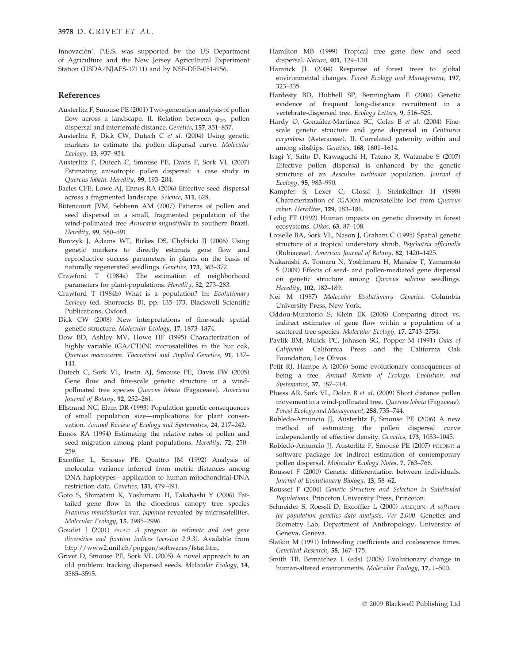Innovación'. P.E.S. was supported by the US Department of Agriculture and the New Jersey Agricultural Experiment Station (USDA/NJAES-17111) and by NSF-DEB-0514956.

## References

- Austerlitz F, Smouse PE (2001) Two-generation analysis of pollen flow across a landscape. II. Relation between  $\varphi_{\varphi\tau}$  pollen dispersal and interfemale distance. Genetics, 157, 851–857.
- Austerlitz F, Dick CW, Dutech C et al. (2004) Using genetic markers to estimate the pollen dispersal curve. Molecular Ecology, 13, 937–954.
- Austerlitz F, Dutech C, Smouse PE, Davis F, Sork VL (2007) Estimating anisotropic pollen dispersal: a case study in Quercus lobata. Heredity, 99, 193–204.
- Bacles CFE, Lowe AJ, Ennos RA (2006) Effective seed dispersal across a fragmented landscape. Science, 311, 628.
- Bittencourt JVM, Sebbenn AM (2007) Patterns of pollen and seed dispersal in a small, fragmented population of the wind-pollinated tree Araucaria angustifolia in southern Brazil. Heredity, 99, 580–591.
- Burczyk J, Adams WT, Birkes DS, Chybicki IJ (2006) Using genetic markers to directly estimate gene flow and reproductive success parameters in plants on the basis of naturally regenerated seedlings. Genetics, 173, 363–372.
- Crawford T (1984a) The estimation of neighborhood parameters for plant-populations. Heredity, 52, 273–283.
- Crawford T (1984b) What is a population? In: Evolutionary Ecology (ed. Shorrocks B), pp. 135–173. Blackwell Scientific Publications, Oxford.
- Dick CW (2008) New interpretations of fine-scale spatial genetic structure. Molecular Ecology, 17, 1873–1874.
- Dow BD, Ashley MV, Howe HF (1995) Characterization of highly variable (GA/CT)(N) microsatellites in the bur oak, Quercus macrocarpa. Theoretical and Applied Genetics, 91, 137– 141.
- Dutech C, Sork VL, Irwin AJ, Smouse PE, Davis FW (2005) Gene flow and fine-scale genetic structure in a windpollinated tree species Quercus lobata (Fagaceaee). American Journal of Botany, 92, 252–261.
- Ellstrand NC, Elam DR (1993) Population genetic consequences of small population size—implications for plant conservation. Annual Review of Ecology and Systematics, 24, 217–242.
- Ennos RA (1994) Estimating the relative rates of pollen and seed migration among plant populations. Heredity, 72, 250– 259.
- Excoffier L, Smouse PE, Quattro JM (1992) Analysis of molecular variance inferred from metric distances among DNA haplotypes—application to human mitochondrial-DNA restriction data. Genetics, 131, 479–491.
- Goto S, Shimatani K, Yoshimaru H, Takahashi Y (2006) Fattailed gene flow in the dioecious canopy tree species Fraxinus mandshurica var. japonica revealed by microsatellites. Molecular Ecology, 15, 2985–2996.
- Goudet J (2001) FSTAT: A program to estimate and test gene diversities and fixation indices (version 2.9.3). Available from http://www2.unil.ch/popgen/softwares/fstat.htm.
- Grivet D, Smouse PE, Sork VL (2005) A novel approach to an old problem: tracking dispersed seeds. Molecular Ecology, 14, 3585–3595.
- Hamilton MB (1999) Tropical tree gene flow and seed dispersal. Nature, 401, 129–130.
- Hamrick JL (2004) Response of forest trees to global environmental changes. Forest Ecology and Management, 197, 323–335.
- Hardesty BD, Hubbell SP, Bermingham E (2006) Genetic evidence of frequent long-distance recruitment in a vertebrate-dispersed tree. Ecology Letters, 9, 516–525.
- Hardy O, González-Martínez SC, Colas B et al. (2004) Finescale genetic structure and gene dispersal in Centaurea corymbosa (Asteraceae). II. Correlated paternity within and among sibships. Genetics, 168, 1601–1614.
- Isagi Y, Saito D, Kawaguchi H, Tateno R, Watanabe S (2007) Effective pollen dispersal is enhanced by the genetic structure of an Aesculus turbinata population. Journal of Ecology, 95, 983–990.
- Kampfer S, Lexer C, Glossl J, Steinkellner H (1998) Characterization of (GA)(n) microsatellite loci from Quercus robur. Hereditas, 129, 183–186.
- Ledig FT (1992) Human impacts on genetic diversity in forest ecosystems. Oikos, 63, 87–108.
- Loiselle BA, Sork VL, Nason J, Graham C (1995) Spatial genetic structure of a tropical understory shrub, Psychotria officinalis (Rubiaceae). American Journal of Botany, 82, 1420–1425.
- Nakanishi A, Tomaru N, Yoshimaru H, Manabe T, Yamamoto S (2009) Effects of seed- and pollen-mediated gene dispersal on genetic structure among Quercus salicina seedlings. Heredity, 102, 182–189.
- Nei M (1987) Molecular Evolutionary Genetics. Columbia University Press, New York.
- Oddou-Muratorio S, Klein EK (2008) Comparing direct vs. indirect estimates of gene flow within a population of a scattered tree species. Molecular Ecology, 17, 2743-2754.
- Pavlik BM, Muick PC, Johnson SG, Popper M (1991) Oaks of California. California Press and the California Oak Foundation, Los Olivos.
- Petit RJ, Hampe A (2006) Some evolutionary consequences of being a tree. Annual Review of Ecology, Evolution, and Systematics, 37, 187–214.
- Pluess AR, Sork VL, Dolan B et al. (2009) Short distance pollen movement in a wind-pollinated tree, Quercus lobata (Fagaceae). Forest Ecology and Management, 258, 735–744.
- Robledo-Arnuncio JJ, Austerlitz F, Smouse PE (2006) A new method of estimating the pollen dispersal curve independently of effective density. Genetics, 173, 1033–1045.
- Robledo-Arnuncio JJ, Austerlitz F, Smouse PE (2007) POLDIST: a software package for indirect estimation of contemporary pollen dispersal. Molecular Ecology Notes, 7, 763–766.
- Rousset F (2000) Genetic differentiation between individuals. Journal of Evolutionary Biology, 13, 58–62.
- Rousset F (2004) Genetic Structure and Selection in Subdivided Populations. Princeton University Press, Princeton.
- Schneider S, Roessli D, Excoffier L (2000) ARLEQUIN: A software for population genetics data analysis, Ver 2.000. Genetics and Biometry Lab, Department of Anthropology, University of Geneva, Geneva.
- Slatkin M (1991) Inbreeding coefficients and coalescence times. Genetical Research, 58, 167–175.
- Smith TB, Bernatchez L (eds) (2008) Evolutionary change in human-altered environments. Molecular Ecology, 17, 1–500.